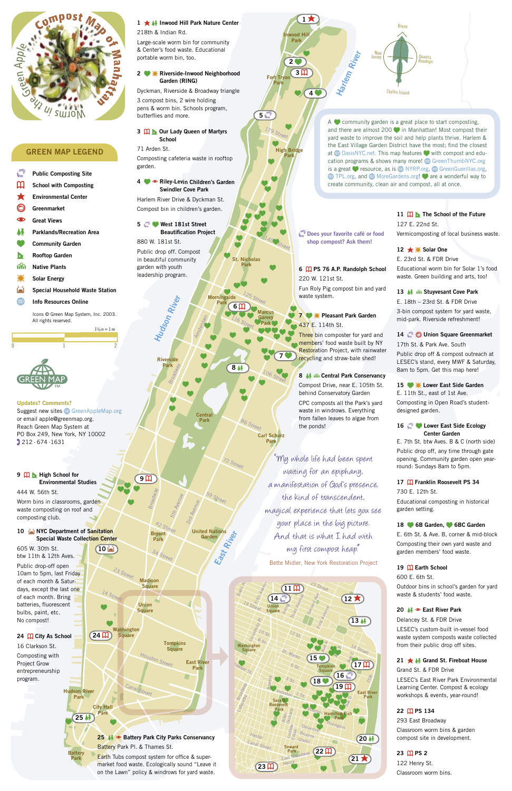**Marcus Garvey** Park

> $\bullet$  $\bullet$

 $\bullet$  $\bullet$  $\bullet$ 

 $\bullet$  $\bullet$ 

 $\frac{125}{s}$ Street

 $\bullet$ 

 $\bullet$  $\bullet$  $\bullet$  $\bullet$  $\bullet$  $\bullet$ 

**.** 

 $\bullet$  .  $\bullet$ 

 $\bullet$  .

St. Nicholas Park

 $\bullet$ 

 $\bullet$ 

 $\bullet$  $\bullet$  $\bullet$ 

> Carl Schurz Park

Madison

wood Hill Park

 $\bullet$ 

<sup>59</sup> Street 42 Street 3rd Avenue 5th Avenue  $\mathcal{L}_{\mathbb{R}}$ 

United Nations<br>Garden

#### 24  $\pi$  City As School

Morningside . Park

Amsterdam

 $\bullet$ 

 $\bullet$  $\bullet$  $\bullet$  $\bullet$ 

High Bridge Park

 $\bullet$ 

Fort Tryon Park

179 Street

 $\bullet$ 

 $\bullet$ 

 $\bullet$  .

86 Street

 $\bullet$  $\bullet$ 

72 Street

106 Street

 $\bullet$ 

**7 %** 

116 Street

 $\bullet$ 

 $\bullet$ 

**84** 

 $\bullet$  .  $\bullet$  .

34 Street

23 Street

# GREEN MAP LEGEND

- $\mathbb{C}^{\mathbb{P}}$  Public Composting Site
- **M** School with Composting

**Environmental Center** 

**Greenmarket** 



# 11  $\mathbf{\Pi}$  **N** The School of the Future 127 E. 22nd St. Vermicomposting of local business waste.

12  $\star$  **i** Solar One

# 15 **. i** Lower East Side Garden E. 11th St., east of 1st Ave.

#### 16 **2** Lower East Side Ecology Center Garden

19  $\overline{u}$  Earth School 600 E. 6th St.

 $(10 \Delta)$ 

 $\bullet$ .. .  $\bullet$ 

> LESEC's custom-built in-vessel food waste system composts waste collected from their public drop off sites.

# 21 ★ M Grand St. Fireboat House

arand St. & FDR Drive<br>LESEC's East River Park Environmental Learning Center. Compost & ecology workshops & events, year-round!

#### 22 m PS 134

zz <del>uurs 134</del><br>293 East Broadway

compost site in development.<br>. Classroom worm bins & garden

#### 23 吅 PS 2



E. 23rd St. & FDR Drive

A  $\bullet$  community garden is a great place to start composting, and there are almost  $200$   $\bullet$  in Manhattan! Most compost their yard waste to improve the soil and help plants thrive. Harlem & the East Village Garden District have the most; find the closest at  $\bigoplus$  OasisNYC.net. This map features  $\bigcirc$  with compost and education programs & shows many more! @ GreenThumbNYC.org is a great  $\blacklozenge$  resource, as is  $\textcircled{4}$  NYRP.org,  $\textcircled{4}$  GreenGuerillas.org,  $\bigoplus$  TPL.org, and  $\bigoplus$  MoreGardens.org! are a wonderful way to create community, clean air and compost, all at once.

> Educational worm bin for Solar 1's food waste. Green building and arts, too!

#### 13 **M**  $\otimes$  Stuyvesant Cove Park

 $\bf \Phi$ Great Views

**A** Parklands/Recreation Area

ଳ Native Plants

- Solar Energy
- Special Household Waste Station

0 1 2

**Example 15 Info Resources Online** 

E. 18th – 23rd St. & FDR Drive 3-bin compost system for yard waste, mid-park. Riverside refreshment!

# 14 C O Union Square Greenmarket

#### 10 MYC Department of Sanitation Special Waste Collection Center

17th St. & Park Ave. South

Public drop off & compost outreach at LESEC's stand, every MWF & Saturday, 8am to 5pm. Get this map here!

Composting in Open Road's studentdesigned garden.

#### **9 M h** High School for Environmental Studies

# 1 **\* Inwood Hill Park Nature Center** 218th & Indian Rd.

E. 7th St. btw Aves. B & C (north side) Public drop off, any time through gate opening. Community garden open yearround: Sundays 8am to 5pm.

# 17  $\overline{u}$  Franklin Roosevelt PS 34

#### 2 **W** Riverside-Inwood Neighborhood Garden (RING)

#### 3  $\mathbf{\Omega}$  b Our Lady Queen of Martyrs School

730 E. 12th St. Educational composting in historical garden setting.

#### 18 6B Garden, 6BC Garden

# 4 **• Riley-Levin Children's Garden** Swindler Cove Park

### 5 <sup>2</sup> West 181st Street Beautification Project

E. 6th St. & Ave. B, corner & mid-block Composting their own yard waste and garden members' food waste.

#### 7 **W** Pleasant Park Garden 437 E. 114th St.

Three bin composter for yard and members' food waste built by NY **Restoration Project, with rainwater** recycling and straw-bale shed!  $\bullet$  $\bullet$ 

> Outdoor bins in school's garden for yard waste & students' food waste.

# 20 **M**  $\bullet$  East River Park

Delancey St. & FDR Drive

8 M G Central Park Conservancy Compost Drive, near E. 105th St. behind Conservatory Garden CPC composts all the Park's yard waste in windrows. Everything from fallen leaves to algae from the ponds!

#### Grand St. & FDR Drive

# **Does your favorite café or food** shop compost? Ask them!

122 Henry St. Classroom worm bins.

 $\bullet$ .

 $5<sup>6</sup>$ 

 $\bullet^{\bullet}$  $\bullet$ ..

 $\bullet$  .  $\bullet$   $\bullet$   $\bullet$   $\bullet$   $\bullet$   $\bullet$   $\bullet$ 

 $\bullet$ 

145 Street



. Community Garden

**In Rooftop Garden** 



 Icons © Green Map System, Inc. 2003. All rights reserved.

 $1^{1}/_8$  in  $= 1$  mi



605 W. 30th St. btw 11th & 12th Aves. Public drop-off open 10am to 5pm, last Friday of each month & Saturdays, except the last one of each month. Bring batteries, fluorescent bulbs, paint, etc. No compost!

16 Clarkson St. Composting with Project Grow entrepreneurship program.

444 W. 56th St.

Worm bins in classrooms, garden waste composting on roof and composting club.

Large-scale worm bin for community & Center's food waste. Educational portable worm bin, too.

Dyckman, Riverside & Broadway triangle 3 compost bins, 2 wire holding pens & worm bin. Schools program, butterflies and more.

71 Arden St. Composting cafeteria waste in rooftop garden.

Harlem River Drive & Dyckman St. Compost bin in children's garden.

880 W. 181st St. Public drop off. Compost in beautiful community garden with youth leadership program.

> Hudson River **Riverside** Park Broadway

> > **Central** Park  $\bullet$  $\bullet$  $\bullet$

 $\bullet$  .

East River Bryant Child Nat Garden  $\sum_{i=1}^{\infty}$ 

6 N PS 76 A.P. Randolph School 220 W. 121st St.

Fun Roly Pig compost bin and yard waste system.

" My whole life had been spent waiting for an epiphany, a manifestation of God's presence, the kind of transcendent, magical experience that lets you see your place in the big picture. And that is what I had with my first compost heap."

Bette Midler, New York Restoration Project

# Updates? Comments?

Suggest new sites **H** GreenAppleMap.org or email apple@greenmap.org. Reach Green Map System at PO Box 249, New York, NY 10002 , 212  $\cdot$  674  $\cdot$ 1631

.

 $\bullet$ 

 $\bullet$  $\bullet$ 

9 N

Broadway

3 N

 $2<sub>o</sub>$ 

 $\bullet$ 

 $4<sup>o</sup>$ 

 $1 \star$